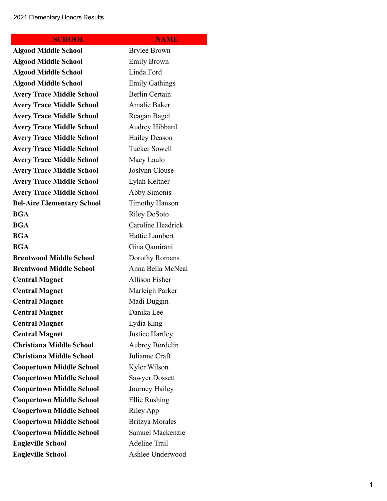| <b>SCHOOL</b>                     | <b>NAME</b>            |
|-----------------------------------|------------------------|
| <b>Algood Middle School</b>       | <b>Brylee Brown</b>    |
| <b>Algood Middle School</b>       | <b>Emily Brown</b>     |
| <b>Algood Middle School</b>       | Linda Ford             |
| <b>Algood Middle School</b>       | <b>Emily Gathings</b>  |
| <b>Avery Trace Middle School</b>  | <b>Berlin Certain</b>  |
| <b>Avery Trace Middle School</b>  | <b>Amalie Baker</b>    |
| <b>Avery Trace Middle School</b>  | Reagan Bagci           |
| <b>Avery Trace Middle School</b>  | Audrey Hibbard         |
| <b>Avery Trace Middle School</b>  | <b>Hailey Deason</b>   |
| <b>Avery Trace Middle School</b>  | <b>Tucker Sowell</b>   |
| <b>Avery Trace Middle School</b>  | Macy Laulo             |
| <b>Avery Trace Middle School</b>  | Joslynn Clouse         |
| <b>Avery Trace Middle School</b>  | Lylah Keltner          |
| <b>Avery Trace Middle School</b>  | Abby Simonis           |
| <b>Bel-Aire Elementary School</b> | <b>Timothy Hanson</b>  |
| <b>BGA</b>                        | <b>Riley DeSoto</b>    |
| <b>BGA</b>                        | Caroline Headrick      |
| <b>BGA</b>                        | <b>Hattie Lambert</b>  |
| <b>BGA</b>                        | Gina Qamirani          |
| <b>Brentwood Middle School</b>    | Dorothy Romans         |
| <b>Brentwood Middle School</b>    | Anna Bella McNeal      |
| <b>Central Magnet</b>             | <b>Allison Fisher</b>  |
| <b>Central Magnet</b>             | Marleigh Parker        |
| <b>Central Magnet</b>             | Madi Duggin            |
| <b>Central Magnet</b>             | Danika Lee             |
| <b>Central Magnet</b>             | Lydia King             |
| <b>Central Magnet</b>             | Justice Hartley        |
| <b>Christiana Middle School</b>   | Aubrey Bordelin        |
| <b>Christiana Middle School</b>   | Julianne Craft         |
| <b>Coopertown Middle School</b>   | Kyler Wilson           |
| <b>Coopertown Middle School</b>   | <b>Sawyer Dossett</b>  |
| <b>Coopertown Middle School</b>   | Journey Hailey         |
| <b>Coopertown Middle School</b>   | Ellie Rushing          |
| <b>Coopertown Middle School</b>   | <b>Riley App</b>       |
| <b>Coopertown Middle School</b>   | <b>Britzya Morales</b> |
| <b>Coopertown Middle School</b>   | Samuel Mackenzie       |
| <b>Eagleville School</b>          | <b>Adeline Trail</b>   |
| <b>Eagleville School</b>          | Ashlee Underwood       |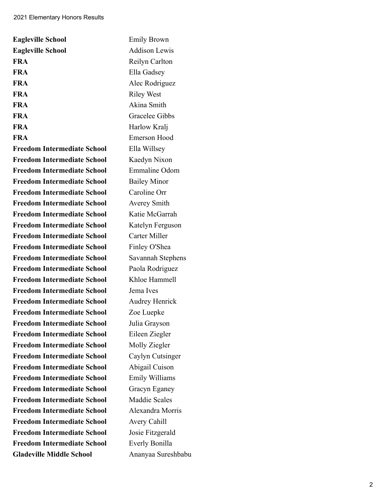| <b>Eagleville School</b>           | <b>Emily Brown</b>    |
|------------------------------------|-----------------------|
| <b>Eagleville School</b>           | <b>Addison Lewis</b>  |
| <b>FRA</b>                         | Reilyn Carlton        |
| <b>FRA</b>                         | Ella Gadsey           |
| <b>FRA</b>                         | Alec Rodriguez        |
| <b>FRA</b>                         | <b>Riley West</b>     |
| <b>FRA</b>                         | Akina Smith           |
| <b>FRA</b>                         | <b>Gracelee Gibbs</b> |
| <b>FRA</b>                         | Harlow Kralj          |
| <b>FRA</b>                         | <b>Emerson Hood</b>   |
| <b>Freedom Intermediate School</b> | Ella Willsey          |
| <b>Freedom Intermediate School</b> | Kaedyn Nixon          |
| <b>Freedom Intermediate School</b> | Emmaline Odom         |
| <b>Freedom Intermediate School</b> | <b>Bailey Minor</b>   |
| <b>Freedom Intermediate School</b> | Caroline Orr          |
| <b>Freedom Intermediate School</b> | Averey Smith          |
| <b>Freedom Intermediate School</b> | Katie McGarrah        |
| <b>Freedom Intermediate School</b> | Katelyn Ferguson      |
| <b>Freedom Intermediate School</b> | <b>Carter Miller</b>  |
| <b>Freedom Intermediate School</b> | Finley O'Shea         |
| <b>Freedom Intermediate School</b> | Savannah Stephens     |
| <b>Freedom Intermediate School</b> | Paola Rodriguez       |
| <b>Freedom Intermediate School</b> | Khloe Hammell         |
| <b>Freedom Intermediate School</b> | Jema Ives             |
| <b>Freedom Intermediate School</b> | <b>Audrey Henrick</b> |
| <b>Freedom Intermediate School</b> | Zoe Luepke            |
| <b>Freedom Intermediate School</b> | Julia Grayson         |
| <b>Freedom Intermediate School</b> | Eileen Ziegler        |
| <b>Freedom Intermediate School</b> | Molly Ziegler         |
| <b>Freedom Intermediate School</b> | Caylyn Cutsinger      |
| <b>Freedom Intermediate School</b> | Abigail Cuison        |
| <b>Freedom Intermediate School</b> | <b>Emily Williams</b> |
| <b>Freedom Intermediate School</b> | Gracyn Eganey         |
| <b>Freedom Intermediate School</b> | <b>Maddie Scales</b>  |
| <b>Freedom Intermediate School</b> | Alexandra Morris      |
| <b>Freedom Intermediate School</b> | Avery Cahill          |
| <b>Freedom Intermediate School</b> | Josie Fitzgerald      |
| <b>Freedom Intermediate School</b> | Everly Bonilla        |
| <b>Gladeville Middle School</b>    | Ananyaa Sureshbabu    |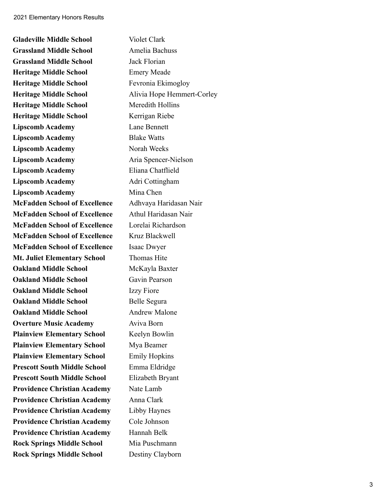**Gladeville Middle School** Violet Clark **Grassland Middle School** Amelia Bachuss **Grassland Middle School** Jack Florian **Heritage Middle School** Emery Meade **Heritage Middle School** Fevronia Ekimogloy **Heritage Middle School** Alivia Hope Hemmert-Corley **Heritage Middle School** Meredith Hollins **Heritage Middle School** Kerrigan Riebe **Lipscomb Academy** Lane Bennett **Lipscomb Academy** Blake Watts **Lipscomb Academy** Norah Weeks **Lipscomb Academy** Aria Spencer-Nielson **Lipscomb Academy** Eliana Chatflield **Lipscomb Academy** Adri Cottingham **Lipscomb Academy** Mina Chen **McFadden School of Excellence** Adhvaya Haridasan Nair **McFadden School of Excellence** Athul Haridasan Nair **McFadden School of Excellence** Lorelai Richardson **McFadden School of Excellence** Kruz Blackwell **McFadden School of Excellence** Isaac Dwyer **Mt. Juliet Elementary School** Thomas Hite **Oakland Middle School** McKayla Baxter **Oakland Middle School** Gavin Pearson **Oakland Middle School Izzy Fiore Oakland Middle School** Belle Segura **Oakland Middle School** Andrew Malone **Overture Music Academy** Aviva Born **Plainview Elementary School Keelyn Bowlin Plainview Elementary School** Mya Beamer **Plainview Elementary School Emily Hopkins Prescott South Middle School Emma Eldridge Prescott South Middle School** Elizabeth Bryant **Providence Christian Academy** Nate Lamb **Providence Christian Academy** Anna Clark **Providence Christian Academy** Libby Haynes **Providence Christian Academy** Cole Johnson **Providence Christian Academy** Hannah Belk **Rock Springs Middle School** Mia Puschmann **Rock Springs Middle School** Destiny Clayborn